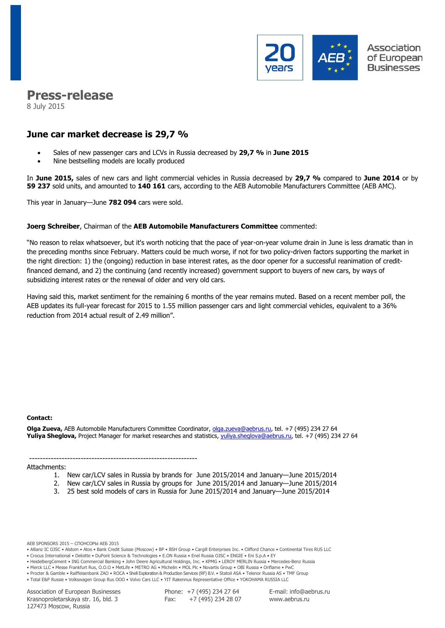

# **Press-release**

8 July 2015

# **June car market decrease is 29,7 %**

- Sales of new passenger cars and LCVs in Russia decreased by **29,7 %** in **June 2015**
- Nine bestselling models are locally produced

In **June 2015,** sales of new cars and light commercial vehicles in Russia decreased by **29,7 %** compared to **June 2014** or by **59 237** sold units, and amounted to **140 161** cars, according to the AEB Automobile Manufacturers Committee (AEB AMC).

This year in January—June **782 094** cars were sold.

### **Joerg Schreiber**, Chairman of the **AEB Automobile Manufacturers Committee** commented:

"No reason to relax whatsoever, but it's worth noticing that the pace of year-on-year volume drain in June is less dramatic than in the preceding months since February. Matters could be much worse, if not for two policy-driven factors supporting the market in the right direction: 1) the (ongoing) reduction in base interest rates, as the door opener for a successful reanimation of creditfinanced demand, and 2) the continuing (and recently increased) government support to buyers of new cars, by ways of subsidizing interest rates or the renewal of older and very old cars.

Having said this, market sentiment for the remaining 6 months of the year remains muted. Based on a recent member poll, the AEB updates its full-year forecast for 2015 to 1.55 million passenger cars and light commercial vehicles, equivalent to a 36% reduction from 2014 actual result of 2.49 million".

#### **Сontact:**

**Olga Zueva,** AEB Automobile Manufacturers Committee Coordinator, [olga.zueva@aebrus.ru,](mailto:olga.zueva@aebrus.ru) tel. +7 (495) 234 27 64 **Yuliya Sheglova,** Project Manager for market researches and statistics, [yuliya.sheglova@aebrus.ru,](mailto:yuliya.sheglova@aebrus.ru) tel. +7 (495) 234 27 64

#### -------------------------------------------------------------- Attachments:

- 1. New car/LCV sales in Russia by brands for June 2015/2014 and January—June 2015/2014
- 2. New car/LCV sales in Russia by groups for June 2015/2014 and January—June 2015/2014
- 3. 25 best sold models of cars in Russia for June 2015/2014 and January—June 2015/2014

AEB SPONSORS 2015 – СПОНСОРЫ АЕБ 2015

• HeidelbergCement • ING Commercial Banking • John Deere Agricultural Holdings, Inc. • KPMG • LEROY MERLIN Russia • Mercedes-Benz Russia

Association of European Businesses Krasnoproletarskaya str. 16, bld. 3 127473 Moscow, Russia

Phone: +7 (495) 234 27 64 Fax: +7 (495) 234 28 07

<sup>•</sup> Allianz IC OJSC • Alstom • Atos • Bank Credit Suisse (Moscow) • BP • BSH Group • Cargill Enterprises Inc. • Clifford Chance • Continental Tires RUS LLC

<sup>•</sup> Crocus International • Deloitte • DuPont Science & Technologies • E.ON Russia • Enel Russia OJSC • ENGIE • Eni S.p.A • EY

<sup>•</sup> Merck LLC • Messe Frankfurt Rus, O.O.O • MetLife • METRO AG • Michelin • MOL Plc • Novartis Group • OBI Russia • Oriflame • PwC

<sup>•</sup> Procter & Gamble • Raiffeisenbank ZAO • ROCA • Shell Exploration & Production Services (RF) B.V. • Statoil ASA • Telenor Russia AS • TMF Group • Total E&P Russie • Volkswagen Group Rus OOO • Volvo Cars LLC • YIT Rakennus Representative Office • YOKOHAMA RUSSIA LLC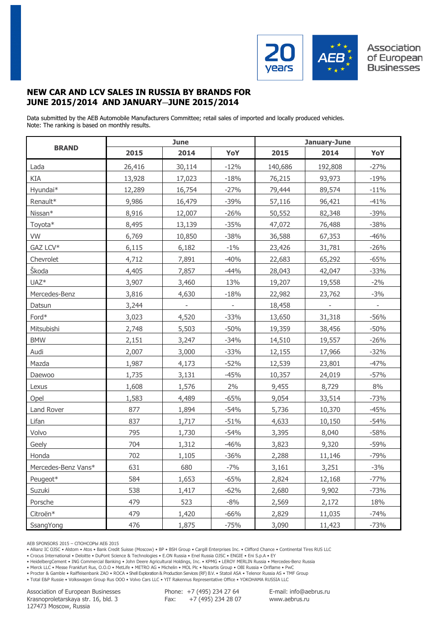

## **NEW CAR AND LCV SALES IN RUSSIA BY BRANDS FOR JUNE 2015/2014 AND JANUARY**—**JUNE 2015/2014**

Data submitted by the AEB Automobile Manufacturers Committee; retail sales of imported and locally produced vehicles. Note: The ranking is based on monthly results.

|                     |        | June   |                          |         | January-June             |        |
|---------------------|--------|--------|--------------------------|---------|--------------------------|--------|
| <b>BRAND</b>        | 2015   | 2014   | YoY                      | 2015    | 2014                     | YoY    |
| Lada                | 26,416 | 30,114 | $-12%$                   | 140,686 | 192,808                  | $-27%$ |
| KIA                 | 13,928 | 17,023 | $-18%$                   | 76,215  | 93,973                   | $-19%$ |
| Hyundai*            | 12,289 | 16,754 | $-27%$                   | 79,444  | 89,574                   | $-11%$ |
| Renault*            | 9,986  | 16,479 | $-39%$                   | 57,116  | 96,421                   | $-41%$ |
| Nissan*             | 8,916  | 12,007 | $-26%$                   | 50,552  | 82,348                   | $-39%$ |
| Toyota*             | 8,495  | 13,139 | $-35%$                   | 47,072  | 76,488                   | $-38%$ |
| <b>VW</b>           | 6,769  | 10,850 | $-38%$                   | 36,588  | 67,353                   | $-46%$ |
| GAZ LCV*            | 6,115  | 6,182  | $-1\%$                   | 23,426  | 31,781                   | $-26%$ |
| Chevrolet           | 4,712  | 7,891  | $-40%$                   | 22,683  | 65,292                   | $-65%$ |
| Škoda               | 4,405  | 7,857  | $-44%$                   | 28,043  | 42,047                   | $-33%$ |
| UAZ <sup>*</sup>    | 3,907  | 3,460  | 13%                      | 19,207  | 19,558                   | $-2\%$ |
| Mercedes-Benz       | 3,816  | 4,630  | $-18%$                   | 22,982  | 23,762                   | $-3%$  |
| Datsun              | 3,244  |        | $\overline{\phantom{a}}$ | 18,458  | $\overline{\phantom{a}}$ |        |
| Ford*               | 3,023  | 4,520  | $-33%$                   | 13,650  | 31,318                   | $-56%$ |
| Mitsubishi          | 2,748  | 5,503  | $-50%$                   | 19,359  | 38,456                   | $-50%$ |
| <b>BMW</b>          | 2,151  | 3,247  | $-34%$                   | 14,510  | 19,557                   | $-26%$ |
| Audi                | 2,007  | 3,000  | $-33%$                   | 12,155  | 17,966                   | $-32%$ |
| Mazda               | 1,987  | 4,173  | $-52%$                   | 12,539  | 23,801                   | $-47%$ |
| Daewoo              | 1,735  | 3,131  | $-45%$                   | 10,357  | 24,019                   | $-57%$ |
| Lexus               | 1,608  | 1,576  | 2%                       | 9,455   | 8,729                    | 8%     |
| Opel                | 1,583  | 4,489  | $-65%$                   | 9,054   | 33,514                   | $-73%$ |
| Land Rover          | 877    | 1,894  | $-54%$                   | 5,736   | 10,370                   | $-45%$ |
| Lifan               | 837    | 1,717  | $-51%$                   | 4,633   | 10,150                   | $-54%$ |
| Volvo               | 795    | 1,730  | $-54%$                   | 3,395   | 8,040                    | $-58%$ |
| Geely               | 704    | 1,312  | $-46%$                   | 3,823   | 9,320                    | $-59%$ |
| Honda               | 702    | 1,105  | $-36%$                   | 2,288   | 11,146                   | $-79%$ |
| Mercedes-Benz Vans* | 631    | 680    | $-7%$                    | 3,161   | 3,251                    | $-3%$  |
| Peugeot*            | 584    | 1,653  | $-65%$                   | 2,824   | 12,168                   | $-77%$ |
| Suzuki              | 538    | 1,417  | $-62%$                   | 2,680   | 9,902                    | $-73%$ |
| Porsche             | 479    | 523    | $-8%$                    | 2,569   | 2,172                    | 18%    |
| Citroën*            | 479    | 1,420  | $-66%$                   | 2,829   | 11,035                   | $-74%$ |
| SsangYong           | 476    | 1,875  | $-75%$                   | 3,090   | 11,423                   | $-73%$ |

AEB SPONSORS 2015 – СПОНСОРЫ АЕБ 2015

• Allianz IC OJSC • Alstom • Atos • Bank Credit Suisse (Moscow) • BP • BSH Group • Cargill Enterprises Inc. • Clifford Chance • Continental Tires RUS LLC

• Crocus International • Deloitte • DuPont Science & Technologies • E.ON Russia • Enel Russia OJSC • ENGIE • Eni S.p.A • EY

• HeidelbergCement • ING Commercial Banking • John Deere Agricultural Holdings, Inc. • KPMG • LEROY MERLIN Russia • Mercedes-Benz Russia

• Merck LLC • Messe Frankfurt Rus, O.O.O • MetLife • METRO AG • Michelin • MOL Plc • Novartis Group • OBI Russia • Oriflame • PwC

• Procter & Gamble • Raiffeisenbank ZAO • ROCA • Shell Exploration & Production Services (RF) B.V. • Statoil ASA • Telenor Russia AS • TMF Group • Total E&P Russie • Volkswagen Group Rus OOO • Volvo Cars LLC • YIT Rakennus Representative Office • YOKOHAMA RUSSIA LLC

Association of European Businesses Krasnoproletarskaya str. 16, bld. 3 127473 Moscow, Russia

Phone: +7 (495) 234 27 64 Fax:  $+7(495)$  234 28 07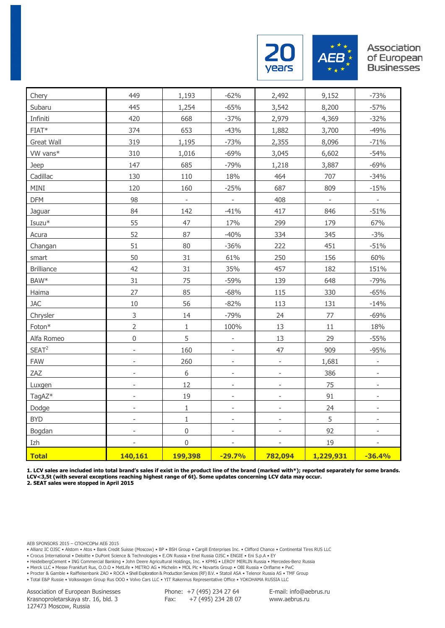

Association of European **Businesses** 

| Chery             | 449                          | 1,193                    | $-62%$                   | 2,492                        | 9,152                    | $-73%$                       |
|-------------------|------------------------------|--------------------------|--------------------------|------------------------------|--------------------------|------------------------------|
| Subaru            | 445                          | 1,254                    | $-65%$                   | 3,542                        | 8,200                    | $-57%$                       |
| Infiniti          | 420                          | 668                      | $-37%$                   | 2,979                        | 4,369                    | $-32%$                       |
| $FIAT*$           | 374                          | 653                      | $-43%$                   | 1,882                        | 3,700                    | $-49%$                       |
| <b>Great Wall</b> | 319                          | 1,195                    | $-73%$                   | 2,355                        | 8,096                    | $-71%$                       |
| VW vans*          | 310                          | 1,016                    | $-69%$                   | 3,045                        | 6,602                    | $-54%$                       |
| Jeep              | 147                          | 685                      | $-79%$                   | 1,218                        | 3,887                    | $-69%$                       |
| Cadillac          | 130                          | 110                      | 18%                      | 464                          | 707                      | $-34%$                       |
| MINI              | 120                          | 160                      | $-25%$                   | 687                          | 809                      | $-15%$                       |
| <b>DFM</b>        | 98                           | $\overline{\phantom{a}}$ | $\overline{\phantom{a}}$ | 408                          | $\overline{\phantom{a}}$ | $\qquad \qquad -$            |
| Jaguar            | 84                           | 142                      | $-41%$                   | 417                          | 846                      | $-51%$                       |
| Isuzu*            | 55                           | 47                       | 17%                      | 299                          | 179                      | 67%                          |
| Acura             | 52                           | 87                       | $-40%$                   | 334                          | 345                      | $-3%$                        |
| Changan           | 51                           | 80                       | $-36%$                   | 222                          | 451                      | $-51%$                       |
| smart             | 50                           | 31                       | 61%                      | 250                          | 156                      | 60%                          |
| <b>Brilliance</b> | 42                           | 31                       | 35%                      | 457                          | 182                      | 151%                         |
| BAW <sup>*</sup>  | 31                           | 75                       | $-59%$                   | 139                          | 648                      | $-79%$                       |
| Haima             | 27                           | 85                       | $-68%$                   | 115                          | 330                      | $-65%$                       |
| <b>JAC</b>        | $10\,$                       | 56                       | $-82%$                   | 113                          | 131                      | $-14%$                       |
| Chrysler          | 3                            | 14                       | $-79%$                   | 24                           | 77                       | $-69%$                       |
| Foton*            | $\overline{2}$               | $\mathbf 1$              | 100%                     | 13                           | 11                       | 18%                          |
| Alfa Romeo        | $\overline{0}$               | 5                        | $\overline{\phantom{0}}$ | 13                           | 29                       | $-55%$                       |
| SEAT <sup>2</sup> | $\overline{\phantom{a}}$     | 160                      | $\overline{\phantom{a}}$ | 47                           | 909                      | $-95%$                       |
| FAW               | $\overline{\phantom{a}}$     | 260                      | $\overline{\phantom{a}}$ | $\blacksquare$               | 1,681                    | $\qquad \qquad \blacksquare$ |
| ZAZ               |                              | $6\,$                    |                          |                              | 386                      |                              |
| Luxgen            | $\qquad \qquad \blacksquare$ | 12                       | $\overline{\phantom{0}}$ | $\overline{a}$               | 75                       | $\overline{a}$               |
| TagAZ*            | $\overline{\phantom{a}}$     | 19                       | $\overline{\phantom{a}}$ | $\qquad \qquad -$            | 91                       | $\qquad \qquad -$            |
| Dodge             | $\overline{\phantom{a}}$     | $\mathbf 1$              | $\overline{\phantom{a}}$ | $\overline{a}$               | 24                       | $\overline{\phantom{a}}$     |
| <b>BYD</b>        | $\overline{\phantom{a}}$     | $1\,$                    | $\overline{\phantom{a}}$ | $\qquad \qquad \blacksquare$ | 5                        | $\frac{1}{2}$                |
| Bogdan            | $\overline{\phantom{a}}$     | $\mathbf 0$              | $\overline{\phantom{a}}$ | $\qquad \qquad \blacksquare$ | 92                       | $\overline{\phantom{a}}$     |
| Izh               | Ĭ.                           | $\boldsymbol{0}$         | $\overline{\phantom{a}}$ | $\overline{a}$               | 19                       | $\overline{a}$               |
| <b>Total</b>      | 140,161                      | 199,398                  | $-29.7%$                 | 782,094                      | 1,229,931                | $-36.4%$                     |

**1. LCV sales are included into total brand's sales if exist in the product line of the brand (marked with\*); reported separately for some brands. LCV<3,5t (with several exceptions reaching highest range of 6t). Some updates concerning LCV data may occur. 2. SEAT sales were stopped in April 2015**

AEB SPONSORS 2015 – СПОНСОРЫ АЕБ 2015

• Allianz IC OJSC • Alstom • Atos • Bank Credit Suisse (Moscow) • BP • BSH Group • Cargill Enterprises Inc. • Clifford Chance • Continental Tires RUS LLC

• Crocus International • Deloitte • DuPont Science & Technologies • E.ON Russia • Enel Russia OJSC • ENGIE • Eni S.p.A • EY

• HeidelbergCement • ING Commercial Banking • John Deere Agricultural Holdings, Inc. • KPMG • LEROY MERLIN Russia • Mercedes-Benz Russia

• Merck LLC • Messe Frankfurt Rus, O.O.O • MetLife • METRO AG • Michelin • MOL Plc • Novartis Group • OBI Russia • Oriflame • PwC

• Procter & Gamble • Raiffeisenbank ZAO • ROCA • Shell Exploration & Production Services (RF) B.V. • Statoil ASA • Telenor Russia AS • TMF Group • Total E&P Russie • Volkswagen Group Rus OOO • Volvo Cars LLC • YIT Rakennus Representative Office • YOKOHAMA RUSSIA LLC

Association of European Businesses Krasnoproletarskaya str. 16, bld. 3 127473 Moscow, Russia

Phone: +7 (495) 234 27 64 Fax:  $+7(495)$  234 28 07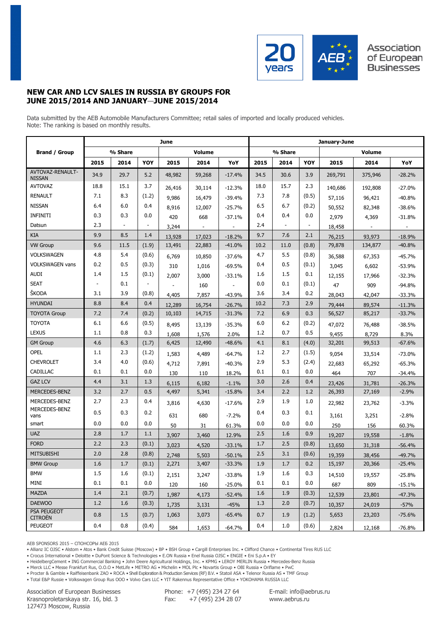

### **NEW CAR AND LCV SALES IN RUSSIA BY GROUPS FOR JUNE 2015/2014 AND JANUARY**—**JUNE 2015/2014**

Data submitted by the AEB Automobile Manufacturers Committee; retail sales of imported and locally produced vehicles. Note: The ranking is based on monthly results.

|                                   |        |                          |       | June   |                          |          |      | January-June             |        |         |                          |          |
|-----------------------------------|--------|--------------------------|-------|--------|--------------------------|----------|------|--------------------------|--------|---------|--------------------------|----------|
| <b>Brand / Group</b>              |        | % Share                  |       |        | <b>Volume</b>            |          |      | % Share                  |        |         | Volume                   |          |
|                                   | 2015   | 2014                     | YOY   | 2015   | 2014                     | YoY      | 2015 | 2014                     | YOY    | 2015    | 2014                     | YoY      |
| AVTOVAZ-RENAULT-<br><b>NISSAN</b> | 34.9   | 29.7                     | 5.2   | 48,982 | 59,268                   | $-17.4%$ | 34.5 | 30.6                     | 3.9    | 269,791 | 375,946                  | $-28.2%$ |
| <b>AVTOVAZ</b>                    | 18.8   | 15.1                     | 3.7   | 26,416 | 30,114                   | $-12.3%$ | 18.0 | 15.7                     | 2.3    | 140,686 | 192,808                  | $-27.0%$ |
| <b>RENAULT</b>                    | 7.1    | 8.3                      | (1.2) | 9,986  | 16,479                   | $-39.4%$ | 7.3  | 7.8                      | (0.5)  | 57,116  | 96,421                   | $-40.8%$ |
| <b>NISSAN</b>                     | 6.4    | 6.0                      | 0.4   | 8,916  | 12,007                   | $-25.7%$ | 6.5  | 6.7                      | (0.2)  | 50,552  | 82,348                   | $-38.6%$ |
| <b>INFINITI</b>                   | 0.3    | 0.3                      | 0.0   | 420    | 668                      | $-37.1%$ | 0.4  | 0.4                      | 0.0    | 2,979   | 4,369                    | $-31.8%$ |
| Datsun                            | 2.3    | $\overline{\phantom{a}}$ |       | 3,244  | $\overline{\phantom{a}}$ |          | 2.4  | $\overline{\phantom{a}}$ | $\sim$ | 18,458  | $\overline{\phantom{a}}$ |          |
| <b>KIA</b>                        | 9.9    | 8.5                      | 1.4   | 13,928 | 17,023                   | $-18.2%$ | 9.7  | 7.6                      | 2.1    | 76,215  | 93,973                   | $-18.9%$ |
| <b>VW Group</b>                   | 9.6    | 11.5                     | (1.9) | 13,491 | 22,883                   | $-41.0%$ | 10.2 | 11.0                     | (0.8)  | 79,878  | 134,877                  | $-40.8%$ |
| VOLKSWAGEN                        | 4.8    | 5.4                      | (0.6) | 6,769  | 10,850                   | $-37.6%$ | 4.7  | 5.5                      | (0.8)  | 36,588  | 67,353                   | $-45.7%$ |
| <b>VOLKSWAGEN vans</b>            | 0.2    | 0.5                      | (0.3) | 310    | 1,016                    | $-69.5%$ | 0.4  | 0.5                      | (0.1)  | 3,045   | 6,602                    | $-53.9%$ |
| <b>AUDI</b>                       | 1.4    | 1.5                      | (0.1) | 2,007  | 3,000                    | $-33.1%$ | 1.6  | 1.5                      | 0.1    | 12,155  | 17,966                   | $-32.3%$ |
| <b>SEAT</b>                       | $\sim$ | 0.1                      |       |        | 160                      |          | 0.0  | 0.1                      | (0.1)  | 47      | 909                      | $-94.8%$ |
| <b>ŠKODA</b>                      | 3.1    | 3.9                      | (0.8) | 4,405  | 7,857                    | $-43.9%$ | 3.6  | 3.4                      | 0.2    | 28,043  | 42,047                   | $-33.3%$ |
| <b>HYUNDAI</b>                    | 8.8    | 8.4                      | 0.4   | 12,289 | 16,754                   | $-26.7%$ | 10.2 | 7.3                      | 2.9    | 79,444  | 89,574                   | $-11.3%$ |
| <b>TOYOTA Group</b>               | 7.2    | 7.4                      | (0.2) | 10,103 | 14,715                   | $-31.3%$ | 7.2  | 6.9                      | 0.3    | 56,527  | 85,217                   | $-33.7%$ |
| <b>TOYOTA</b>                     | 6.1    | 6.6                      | (0.5) | 8,495  | 13,139                   | $-35.3%$ | 6.0  | 6.2                      | (0.2)  | 47,072  | 76,488                   | $-38.5%$ |
| <b>LEXUS</b>                      | 1.1    | 0.8                      | 0.3   | 1,608  | 1,576                    | 2.0%     | 1.2  | 0.7                      | 0.5    | 9,455   | 8,729                    | 8.3%     |
| <b>GM Group</b>                   | 4.6    | 6.3                      | (1.7) | 6,425  | 12,490                   | $-48.6%$ | 4.1  | 8.1                      | (4.0)  | 32,201  | 99,513                   | $-67.6%$ |
| OPEL                              | 1.1    | 2.3                      | (1.2) | 1,583  | 4,489                    | $-64.7%$ | 1.2  | 2.7                      | (1.5)  | 9,054   | 33,514                   | $-73.0%$ |
| <b>CHEVROLET</b>                  | 3.4    | 4.0                      | (0.6) | 4,712  | 7,891                    | $-40.3%$ | 2.9  | 5.3                      | (2.4)  | 22,683  | 65,292                   | $-65.3%$ |
| CADILLAC                          | 0.1    | 0.1                      | 0.0   | 130    | 110                      | 18.2%    | 0.1  | 0.1                      | 0.0    | 464     | 707                      | $-34.4%$ |
| <b>GAZ LCV</b>                    | 4.4    | 3.1                      | 1.3   | 6,115  | 6,182                    | $-1.1%$  | 3.0  | 2.6                      | 0.4    | 23,426  | 31,781                   | $-26.3%$ |
| MERCEDES-BENZ                     | 3.2    | 2.7                      | 0.5   | 4,497  | 5,341                    | $-15.8%$ | 3.4  | 2.2                      | 1.2    | 26,393  | 27,169                   | $-2.9%$  |
| MERCEDES-BENZ                     | 2.7    | 2.3                      | 0.4   | 3,816  | 4,630                    | $-17.6%$ | 2.9  | 1.9                      | 1.0    | 22,982  | 23,762                   | $-3.3%$  |
| MERCEDES-BENZ<br>vans             | 0.5    | 0.3                      | 0.2   | 631    | 680                      | $-7.2%$  | 0.4  | 0.3                      | 0.1    | 3,161   | 3,251                    | $-2.8%$  |
| smart                             | 0.0    | 0.0                      | 0.0   | 50     | 31                       | 61.3%    | 0.0  | 0.0                      | 0.0    | 250     | 156                      | 60.3%    |
| <b>UAZ</b>                        | 2.8    | 1.7                      | 1.1   | 3,907  | 3,460                    | 12.9%    | 2.5  | 1.6                      | 0.9    | 19,207  | 19,558                   | $-1.8%$  |
| <b>FORD</b>                       | 2.2    | 2.3                      | (0.1) | 3,023  | 4,520                    | $-33.1%$ | 1.7  | 2.5                      | (0.8)  | 13,650  | 31,318                   | $-56.4%$ |
| <b>MITSUBISHI</b>                 | 2.0    | 2.8                      | (0.8) | 2,748  | 5,503                    | $-50.1%$ | 2.5  | 3.1                      | (0.6)  | 19,359  | 38,456                   | $-49.7%$ |
| <b>BMW Group</b>                  | 1.6    | 1.7                      | (0.1) | 2,271  | 3,407                    | $-33.3%$ | 1.9  | 1.7                      | 0.2    | 15,197  | 20,366                   | $-25.4%$ |
| <b>BMW</b>                        | 1.5    | 1.6                      | (0.1) | 2,151  | 3,247                    | $-33.8%$ | 1.9  | 1.6                      | 0.3    | 14,510  | 19,557                   | $-25.8%$ |
| MINI                              | 0.1    | 0.1                      | 0.0   | 120    | 160                      | $-25.0%$ | 0.1  | 0.1                      | 0.0    | 687     | 809                      | $-15.1%$ |
| <b>MAZDA</b>                      | 1.4    | 2.1                      | (0.7) | 1,987  | 4,173                    | $-52.4%$ | 1.6  | 1.9                      | (0.3)  | 12,539  | 23,801                   | $-47.3%$ |
| <b>DAEWOO</b>                     | 1.2    | 1.6                      | (0.3) | 1,735  | 3,131                    | $-45%$   | 1.3  | 2.0                      | (0.7)  | 10,357  | 24,019                   | $-57%$   |
| PSA PEUGEOT<br><b>CITROËN</b>     | 0.8    | $1.5\,$                  | (0.7) | 1,063  | 3,073                    | $-65.4%$ | 0.7  | 1.9                      | (1.2)  | 5,653   | 23,203                   | $-75.6%$ |
| PEUGEOT                           | 0.4    | 0.8                      | (0.4) | 584    | 1,653                    | $-64.7%$ | 0.4  | 1.0                      | (0.6)  | 2,824   | 12,168                   | $-76.8%$ |

AEB SPONSORS 2015 – СПОНСОРЫ АЕБ 2015

• Allianz IC OJSC • Alstom • Atos • Bank Credit Suisse (Moscow) • BP • BSH Group • Cargill Enterprises Inc. • Clifford Chance • Continental Tires RUS LLC

• Crocus International • Deloitte • DuPont Science & Technologies • E.ON Russia • Enel Russia OJSC • ENGIE • Eni S.p.A • EY

• HeidelbergCement • ING Commercial Banking • John Deere Agricultural Holdings, Inc. • KPMG • LEROY MERLIN Russia • Mercedes-Benz Russia

• Merck LLC • Messe Frankfurt Rus, O.O.O • MetLife • METRO AG • Michelin • MOL Plc • Novartis Group • OBI Russia • Oriflame • PwC

• Procter & Gamble • Raiffeisenbank ZAO • ROCA • Shell Exploration & Production Services (RF) B.V. • Statoil ASA • Telenor Russia AS • TMF Group • Total E&P Russie • Volkswagen Group Rus OOO • Volvo Cars LLC • YIT Rakennus Representative Office • YOKOHAMA RUSSIA LLC

Association of European Businesses Krasnoproletarskaya str. 16, bld. 3 127473 Moscow, Russia

Phone: +7 (495) 234 27 64 Fax:  $+7(495)$  234 28 07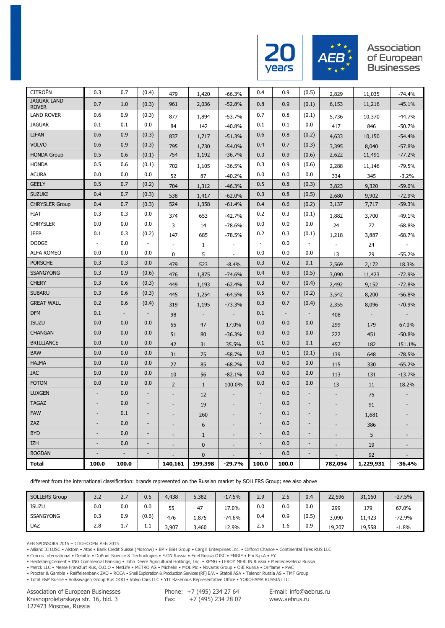

Association of European **Businesses** 

| <b>CITROËN</b>                     | 0.3                      | 0.7            | (0.4)          | 479                      | 1,420            | $-66.3%$                 | 0.4                   | 0.9                      | (0.5)                    | 2,829                    | 11,035         | $-74.4%$       |
|------------------------------------|--------------------------|----------------|----------------|--------------------------|------------------|--------------------------|-----------------------|--------------------------|--------------------------|--------------------------|----------------|----------------|
| <b>JAGUAR LAND</b><br><b>ROVER</b> | 0.7                      | 1.0            | (0.3)          | 961                      | 2,036            | $-52.8%$                 | 0.8                   | 0.9                      | (0.1)                    | 6,153                    | 11,216         | $-45.1%$       |
| <b>LAND ROVER</b>                  | 0.6                      | 0.9            | (0.3)          | 877                      | 1,894            | $-53.7%$                 | 0.7                   | 0.8                      | (0.1)                    | 5,736                    | 10,370         | $-44.7%$       |
| <b>JAGUAR</b>                      | 0.1                      | 0.1            | 0.0            | 84                       | 142              | $-40.8%$                 | 0.1                   | 0.1                      | 0.0                      | 417                      | 846            | $-50.7%$       |
| <b>LIFAN</b>                       | 0.6                      | 0.9            | (0.3)          | 837                      | 1,717            | $-51.3%$                 | 0.6                   | 0.8                      | (0.2)                    | 4,633                    | 10,150         | $-54.4%$       |
| <b>VOLVO</b>                       | 0.6                      | 0.9            | (0.3)          | 795                      | 1,730            | $-54.0%$                 | 0.4                   | 0.7                      | (0.3)                    | 3,395                    | 8,040          | $-57.8%$       |
| <b>HONDA Group</b>                 | 0.5                      | 0.6            | (0.1)          | 754                      | 1,192            | $-36.7%$                 | 0.3                   | 0.9                      | (0.6)                    | 2,622                    | 11,491         | $-77.2%$       |
| <b>HONDA</b>                       | 0.5                      | 0.6            | (0.1)          | 702                      | 1,105            | $-36.5%$                 | 0.3                   | 0.9                      | (0.6)                    | 2,288                    | 11,146         | $-79.5%$       |
| <b>ACURA</b>                       | 0.0                      | 0.0            | 0.0            | 52                       | 87               | $-40.2%$                 | 0.0                   | 0.0                      | 0.0                      | 334                      | 345            | $-3.2%$        |
| <b>GEELY</b>                       | 0.5                      | 0.7            | (0.2)          | 704                      | 1,312            | $-46.3%$                 | 0.5                   | 0.8                      | (0.3)                    | 3,823                    | 9,320          | $-59.0%$       |
| <b>SUZUKI</b>                      | 0.4                      | 0.7            | (0.3)          | 538                      | 1,417            | $-62.0%$                 | 0.3                   | 0.8                      | (0.5)                    | 2,680                    | 9,902          | $-72.9%$       |
| <b>CHRYSLER Group</b>              | 0.4                      | 0.7            | (0.3)          | 524                      | 1,358            | $-61.4%$                 | 0.4                   | 0.6                      | (0.2)                    | 3,137                    | 7,717          | $-59.3%$       |
| <b>FIAT</b>                        | 0.3                      | 0.3            | 0.0            | 374                      | 653              | $-42.7%$                 | 0.2                   | 0.3                      | (0.1)                    | 1,882                    | 3,700          | $-49.1%$       |
| <b>CHRYSLER</b>                    | 0.0                      | 0.0            | 0.0            | 3                        | 14               | $-78.6%$                 | 0.0                   | 0.0                      | 0.0                      | 24                       | 77             | $-68.8%$       |
| <b>JEEP</b>                        | 0.1                      | 0.3            | (0.2)          | 147                      | 685              | $-78.5%$                 | 0.2                   | 0.3                      | (0.1)                    | 1,218                    | 3,887          | $-68.7%$       |
| <b>DODGE</b>                       | ÷                        | 0.0            |                | ÷                        | $\mathbf{1}$     |                          | $\tilde{\phantom{a}}$ | 0.0                      | $\sim$                   | ÷,                       | 24             |                |
| <b>ALFA ROMEO</b>                  | 0.0                      | 0.0            | 0.0            | 0                        | 5                |                          | 0.0                   | 0.0                      | 0.0                      | 13                       | 29             | $-55.2%$       |
| <b>PORSCHE</b>                     | 0.3                      | 0.3            | 0.0            | 479                      | 523              | $-8.4%$                  | 0.3                   | 0.2                      | 0.1                      | 2,569                    | 2,172          | 18.3%          |
| <b>SSANGYONG</b>                   | 0.3                      | 0.9            | (0.6)          | 476                      | 1,875            | $-74.6%$                 | 0.4                   | 0.9                      | (0.5)                    | 3,090                    | 11,423         | $-72.9%$       |
| <b>CHERY</b>                       | 0.3                      | 0.6            | (0.3)          | 449                      | 1,193            | $-62.4%$                 | 0.3                   | 0.7                      | (0.4)                    | 2,492                    | 9,152          | $-72.8%$       |
| <b>SUBARU</b>                      | 0.3                      | 0.6            | (0.3)          | 445                      | 1,254            | $-64.5%$                 | 0.5                   | 0.7                      | (0.2)                    | 3,542                    | 8,200          | $-56.8%$       |
| <b>GREAT WALL</b>                  | 0.2                      | 0.6            | (0.4)          | 319                      | 1,195            | $-73.3%$                 | 0.3                   | 0.7                      | (0.4)                    | 2,355                    | 8,096          | $-70.9%$       |
| <b>DFM</b>                         | 0.1                      | $\blacksquare$ |                | 98                       | $\overline{a}$   |                          | 0.1                   | $\overline{\phantom{a}}$ | $\overline{\phantom{a}}$ | 408                      | $\overline{a}$ |                |
| <b>ISUZU</b>                       | 0.0                      | 0.0            | 0.0            | 55                       | 47               | 17.0%                    | 0.0                   | 0.0                      | 0.0                      | 299                      | 179            | 67.0%          |
| <b>CHANGAN</b>                     | 0.0                      | 0.0            | 0.0            | 51                       | 80               | $-36.3%$                 | 0.0                   | 0.0                      | 0.0                      | 222                      | 451            | $-50.8%$       |
| <b>BRILLIANCE</b>                  | 0.0                      | 0.0            | 0.0            | 42                       | 31               | 35.5%                    | 0.1                   | 0.0                      | 0.1                      | 457                      | 182            | 151.1%         |
| <b>BAW</b>                         | 0.0                      | 0.0            | 0.0            | 31                       | 75               | $-58.7%$                 | 0.0                   | 0.1                      | (0.1)                    | 139                      | 648            | $-78.5%$       |
| <b>HAIMA</b>                       | 0.0                      | 0.0            | 0.0            | 27                       | 85               | $-68.2%$                 | 0.0                   | 0.0                      | 0.0                      | 115                      | 330            | $-65.2%$       |
| <b>JAC</b>                         | 0.0                      | 0.0            | 0.0            | 10                       | 56               | $-82.1%$                 | 0.0                   | 0.0                      | 0.0                      | 113                      | 131            | $-13.7%$       |
| <b>FOTON</b>                       | 0.0                      | 0.0            | 0.0            | $\overline{2}$           | $\mathbf{1}$     | 100.0%                   | 0.0                   | 0.0                      | 0.0                      | 13                       | 11             | 18.2%          |
| <b>LUXGEN</b>                      |                          | 0.0            |                |                          | 12               |                          | $\overline{a}$        | 0.0                      |                          | $\overline{\phantom{a}}$ | 75             |                |
| <b>TAGAZ</b>                       | ÷,                       | 0.0            |                | $\overline{\phantom{a}}$ | 19               | ۰                        | $\overline{a}$        | 0.0                      | ÷,                       | $\overline{\phantom{a}}$ | 91             | $\overline{a}$ |
| <b>FAW</b>                         | $\overline{a}$           | 0.1            | $\overline{a}$ |                          | 260              | $\overline{\phantom{a}}$ | $\overline{a}$        | 0.1                      | ÷,                       | $\overline{\phantom{a}}$ | 1,681          |                |
| ZAZ                                | ÷,                       | 0.0            | ٠              |                          | $\boldsymbol{6}$ |                          | L.                    | 0.0                      | $\overline{a}$           | $\overline{\phantom{a}}$ | 386            |                |
| <b>BYD</b>                         | ÷,                       | 0.0            |                |                          | $\mathbf{1}$     |                          | $\overline{a}$        | 0.0                      | $\overline{a}$           |                          | 5              |                |
| <b>IZH</b>                         | $\overline{\phantom{a}}$ | 0.0            | $\overline{a}$ |                          | $\pmb{0}$        |                          | L.                    | 0.0                      | $\overline{\phantom{a}}$ |                          | 19             |                |
| <b>BOGDAN</b>                      |                          |                | ٠              |                          | $\mathbf 0$      |                          |                       | 0.0                      | ä,                       |                          | 92             |                |
| <b>Total</b>                       | 100.0                    | 100.0          |                | 140,161                  | 199,398          | $-29.7%$                 | 100.0                 | 100.0                    |                          | 782,094                  | 1,229,931      | $-36.4%$       |

different from the international classification: brands represented on the Russian market by SOLLERS Group; see also above

| <b>SOLLERS Group</b> | 3.2 | 2.7      | 0.5   | 4,438 | 5,382 | $-17.5%$ | 2.9 | 2.5 | 0.4   | 22,596 | 31,160 | $-27.5%$ |
|----------------------|-----|----------|-------|-------|-------|----------|-----|-----|-------|--------|--------|----------|
| <b>ISUZU</b>         | 0.0 | 0.0      | 0.0   | 55    | 47    | 17.0%    | 0.0 | 0.0 | 0.0   | 299    | 179    | 67.0%    |
| <b>SSANGYONG</b>     | 0.3 | $_{0.9}$ | (0.6) | 476   | 1,875 | $-74.6%$ | 0.4 | 0.9 | (0.5) | 3,090  | 11,423 | $-72.9%$ |
| <b>UAZ</b>           | 2.8 | 1.,      | .     | ,907  | 3,460 | 12.9%    | 2.5 | 1.6 | 0.9   | 19,207 | 19,558 | $-1.8%$  |

AEB SPONSORS 2015 – СПОНСОРЫ АЕБ 2015

• Allianz IC OJSC • Alstom • Atos • Bank Credit Suisse (Moscow) • BP • BSH Group • Cargill Enterprises Inc. • Clifford Chance • Continental Tires RUS LLC

• Crocus International • Deloitte • DuPont Science & Technologies • E.ON Russia • Enel Russia OJSC • ENGIE • Eni S.p.A • EY

• HeidelbergCement • ING Commercial Banking • John Deere Agricultural Holdings, Inc. • KPMG • LEROY MERLIN Russia • Mercedes-Benz Russia

• Merck LLC • Messe Frankfurt Rus, O.O.O • MetLife • METRO AG • Michelin • MOL Plc • Novartis Group • OBI Russia • Oriflame • PwC

• Procter & Gamble • Raiffeisenbank ZAO • ROCA • Shell Exploration & Production Services (RF) B.V. • Statoil ASA • Telenor Russia AS • TMF Group • Total E&P Russie • Volkswagen Group Rus OOO • Volvo Cars LLC • YIT Rakennus Representative Office • YOKOHAMA RUSSIA LLC

Association of European Businesses Krasnoproletarskaya str. 16, bld. 3 127473 Moscow, Russia

Phone: +7 (495) 234 27 64 Fax:  $+7(495)$  234 28 07